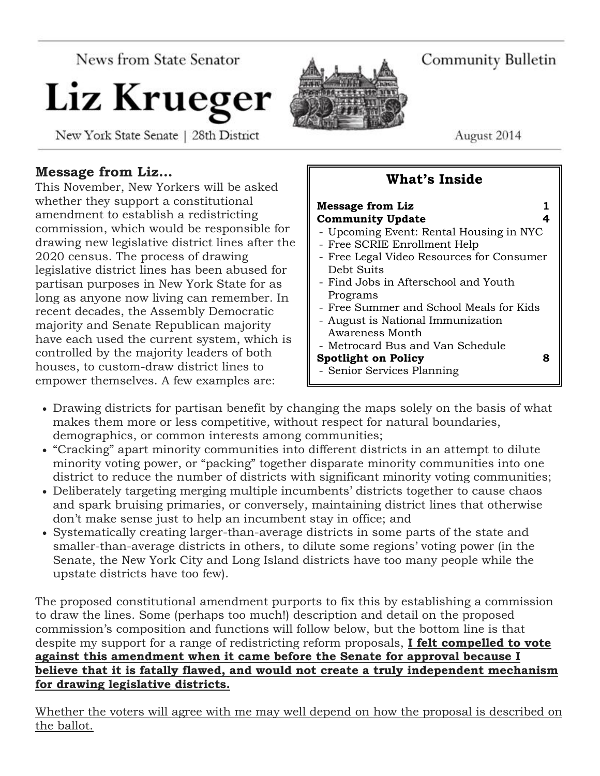News from State Senator

# Liz Krueger

New York State Senate | 28th District



Community Bulletin

August 2014

# **Message from Liz…**

This November, New Yorkers will be asked whether they support a constitutional amendment to establish a redistricting commission, which would be responsible for drawing new legislative district lines after the 2020 census. The process of drawing legislative district lines has been abused for partisan purposes in New York State for as long as anyone now living can remember. In recent decades, the Assembly Democratic majority and Senate Republican majority have each used the current system, which is controlled by the majority leaders of both houses, to custom-draw district lines to empower themselves. A few examples are:



**What's Inside**

- Drawing districts for partisan benefit by changing the maps solely on the basis of what makes them more or less competitive, without respect for natural boundaries, demographics, or common interests among communities;
- "Cracking" apart minority communities into different districts in an attempt to dilute minority voting power, or "packing" together disparate minority communities into one district to reduce the number of districts with significant minority voting communities;
- Deliberately targeting merging multiple incumbents' districts together to cause chaos and spark bruising primaries, or conversely, maintaining district lines that otherwise don't make sense just to help an incumbent stay in office; and
- Systematically creating larger-than-average districts in some parts of the state and smaller-than-average districts in others, to dilute some regions' voting power (in the Senate, the New York City and Long Island districts have too many people while the upstate districts have too few).

The proposed constitutional amendment purports to fix this by establishing a commission to draw the lines. Some (perhaps too much!) description and detail on the proposed commission's composition and functions will follow below, but the bottom line is that despite my support for a range of redistricting reform proposals, **I felt compelled to vote against this amendment when it came before the Senate for approval because I believe that it is fatally flawed, and would not create a truly independent mechanism for drawing legislative districts.**

Whether the voters will agree with me may well depend on how the proposal is described on the ballot.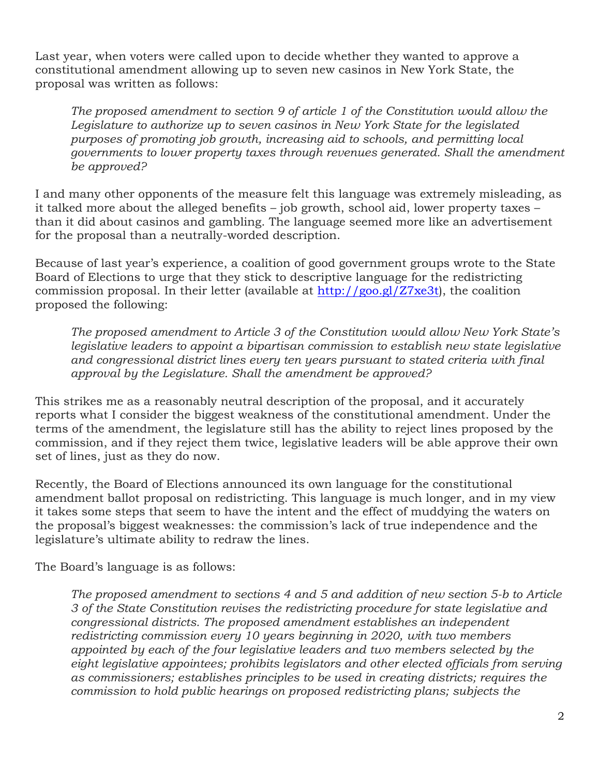Last year, when voters were called upon to decide whether they wanted to approve a constitutional amendment allowing up to seven new casinos in New York State, the proposal was written as follows:

*The proposed amendment to section 9 of article 1 of the Constitution would allow the Legislature to authorize up to seven casinos in New York State for the legislated purposes of promoting job growth, increasing aid to schools, and permitting local governments to lower property taxes through revenues generated. Shall the amendment be approved?*

I and many other opponents of the measure felt this language was extremely misleading, as it talked more about the alleged benefits – job growth, school aid, lower property taxes – than it did about casinos and gambling. The language seemed more like an advertisement for the proposal than a neutrally-worded description.

Because of last year's experience, a coalition of good government groups wrote to the State Board of Elections to urge that they stick to descriptive language for the redistricting commission proposal. In their letter (available at [http://goo.gl/Z7xe3t\)](http://goo.gl/Z7xe3t), the coalition proposed the following:

*The proposed amendment to Article 3 of the Constitution would allow New York State's legislative leaders to appoint a bipartisan commission to establish new state legislative and congressional district lines every ten years pursuant to stated criteria with final approval by the Legislature. Shall the amendment be approved?*

This strikes me as a reasonably neutral description of the proposal, and it accurately reports what I consider the biggest weakness of the constitutional amendment. Under the terms of the amendment, the legislature still has the ability to reject lines proposed by the commission, and if they reject them twice, legislative leaders will be able approve their own set of lines, just as they do now.

Recently, the Board of Elections announced its own language for the constitutional amendment ballot proposal on redistricting. This language is much longer, and in my view it takes some steps that seem to have the intent and the effect of muddying the waters on the proposal's biggest weaknesses: the commission's lack of true independence and the legislature's ultimate ability to redraw the lines.

The Board's language is as follows:

*The proposed amendment to sections 4 and 5 and addition of new section 5-b to Article 3 of the State Constitution revises the redistricting procedure for state legislative and congressional districts. The proposed amendment establishes an independent redistricting commission every 10 years beginning in 2020, with two members appointed by each of the four legislative leaders and two members selected by the eight legislative appointees; prohibits legislators and other elected officials from serving as commissioners; establishes principles to be used in creating districts; requires the commission to hold public hearings on proposed redistricting plans; subjects the*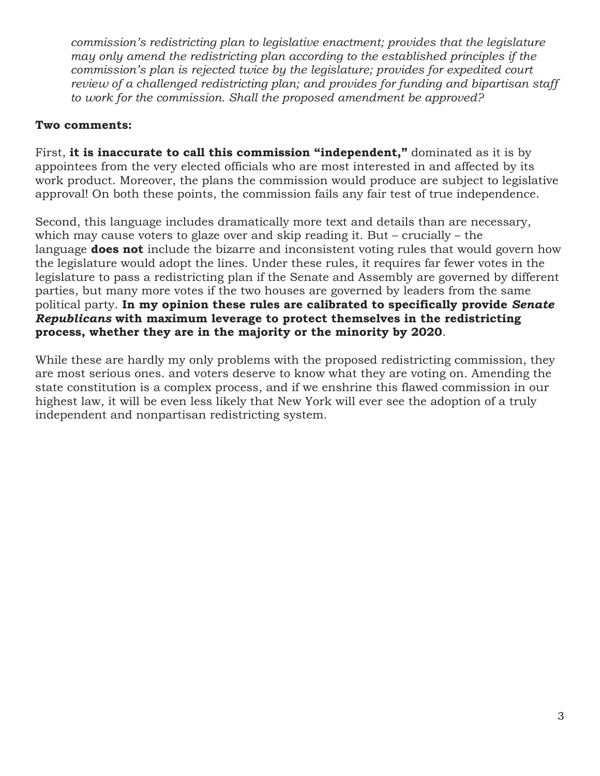*commission's redistricting plan to legislative enactment; provides that the legislature may only amend the redistricting plan according to the established principles if the commission's plan is rejected twice by the legislature; provides for expedited court review of a challenged redistricting plan; and provides for funding and bipartisan staff to work for the commission. Shall the proposed amendment be approved?*

#### **Two comments:**

First, **it is inaccurate to call this commission "independent,"** dominated as it is by appointees from the very elected officials who are most interested in and affected by its work product. Moreover, the plans the commission would produce are subject to legislative approval! On both these points, the commission fails any fair test of true independence.

Second, this language includes dramatically more text and details than are necessary, which may cause voters to glaze over and skip reading it. But – crucially – the language **does not** include the bizarre and inconsistent voting rules that would govern how the legislature would adopt the lines. Under these rules, it requires far fewer votes in the legislature to pass a redistricting plan if the Senate and Assembly are governed by different parties, but many more votes if the two houses are governed by leaders from the same political party. **In my opinion these rules are calibrated to specifically provide** *Senate Republicans* **with maximum leverage to protect themselves in the redistricting process, whether they are in the majority or the minority by 2020**.

While these are hardly my only problems with the proposed redistricting commission, they are most serious ones. and voters deserve to know what they are voting on. Amending the state constitution is a complex process, and if we enshrine this flawed commission in our highest law, it will be even less likely that New York will ever see the adoption of a truly independent and nonpartisan redistricting system.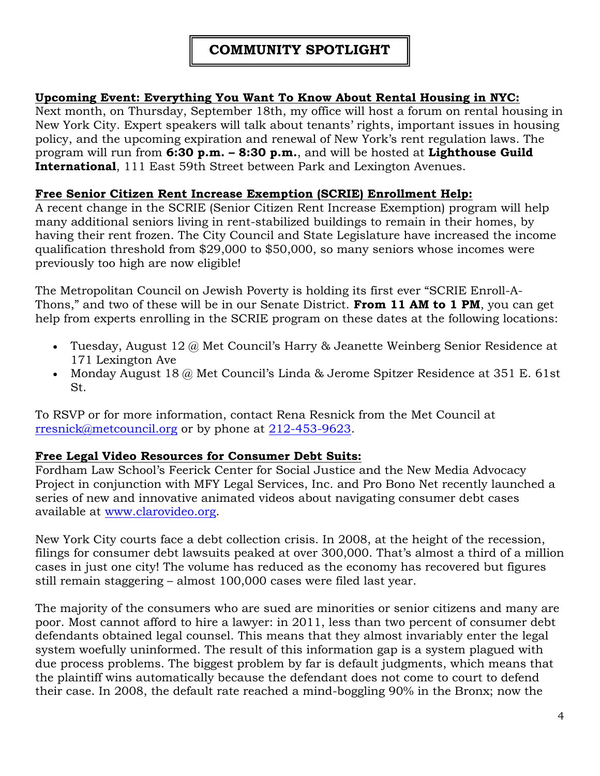# **COMMUNITY SPOTLIGHT**

# **Upcoming Event: Everything You Want To Know About Rental Housing in NYC:**

Next month, on Thursday, September 18th, my office will host a forum on rental housing in New York City. Expert speakers will talk about tenants' rights, important issues in housing policy, and the upcoming expiration and renewal of New York's rent regulation laws. The program will run from **6:30 p.m. – 8:30 p.m.**, and will be hosted at **Lighthouse Guild International**, 111 East 59th Street between Park and Lexington Avenues.

#### **Free Senior Citizen Rent Increase Exemption (SCRIE) Enrollment Help:**

A recent change in the SCRIE (Senior Citizen Rent Increase Exemption) program will help many additional seniors living in rent-stabilized buildings to remain in their homes, by having their rent frozen. The City Council and State Legislature have increased the income qualification threshold from \$29,000 to \$50,000, so many seniors whose incomes were previously too high are now eligible!

The Metropolitan Council on Jewish Poverty is holding its first ever "SCRIE Enroll-A-Thons," and two of these will be in our Senate District. **From 11 AM to 1 PM**, you can get help from experts enrolling in the SCRIE program on these dates at the following locations:

- Tuesday, August  $12 \omega$  Met Council's Harry & Jeanette Weinberg Senior Residence at 171 Lexington Ave
- Monday August 18  $\omega$  Met Council's Linda & Jerome Spitzer Residence at 351 E. 61st St.

To RSVP or for more information, contact Rena Resnick from the Met Council at [rresnick@metcouncil.org](mailto:rresnick@metcouncil.org) or by phone at [212-453-9623.](tel:212-453-9623)

#### **Free Legal Video Resources for Consumer Debt Suits:**

Fordham Law School's Feerick Center for Social Justice and the New Media Advocacy Project in conjunction with MFY Legal Services, Inc. and Pro Bono Net recently launched a series of new and innovative animated videos about navigating consumer debt cases available at [www.clarovideo.org.](http://www.clarovideo.org/)

New York City courts face a debt collection crisis. In 2008, at the height of the recession, filings for consumer debt lawsuits peaked at over 300,000. That's almost a third of a million cases in just one city! The volume has reduced as the economy has recovered but figures still remain staggering – almost 100,000 cases were filed last year.

The majority of the consumers who are sued are minorities or senior citizens and many are poor. Most cannot afford to hire a lawyer: in 2011, less than two percent of consumer debt defendants obtained legal counsel. This means that they almost invariably enter the legal system woefully uninformed. The result of this information gap is a system plagued with due process problems. The biggest problem by far is default judgments, which means that the plaintiff wins automatically because the defendant does not come to court to defend their case. In 2008, the default rate reached a mind-boggling 90% in the Bronx; now the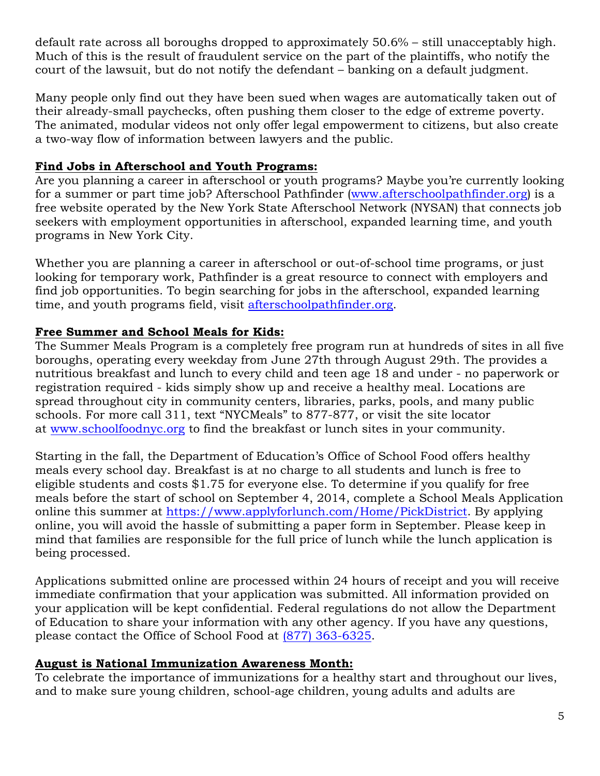default rate across all boroughs dropped to approximately 50.6% – still unacceptably high. Much of this is the result of fraudulent service on the part of the plaintiffs, who notify the court of the lawsuit, but do not notify the defendant – banking on a default judgment.

Many people only find out they have been sued when wages are automatically taken out of their already-small paychecks, often pushing them closer to the edge of extreme poverty. The animated, modular videos not only offer legal empowerment to citizens, but also create a two-way flow of information between lawyers and the public.

# **Find Jobs in Afterschool and Youth Programs:**

Are you planning a career in afterschool or youth programs? Maybe you're currently looking for a summer or part time job? Afterschool Pathfinder [\(www.afterschoolpathfinder.org\)](http://www.afterschoolpathfinder.org/) is a free website operated by the New York State Afterschool Network (NYSAN) that connects job seekers with employment opportunities in afterschool, expanded learning time, and youth programs in New York City.

Whether you are planning a career in afterschool or out-of-school time programs, or just looking for temporary work, Pathfinder is a great resource to connect with employers and find job opportunities. To begin searching for jobs in the afterschool, expanded learning time, and youth programs field, visit [afterschoolpathfinder.org.](http://www.afterschoolpathfinder.org/)

# **Free Summer and School Meals for Kids:**

The Summer Meals Program is a completely free program run at hundreds of sites in all five boroughs, operating every weekday from June 27th through August 29th. The provides a nutritious breakfast and lunch to every child and teen age 18 and under - no paperwork or registration required - kids simply show up and receive a healthy meal. Locations are spread throughout city in community centers, libraries, parks, pools, and many public schools. For more call 311, text "NYCMeals" to 877-877, or visit the site locator at [www.schoolfoodnyc.org](http://www.schoolfoodnyc.org/) to find the breakfast or lunch sites in your community.

Starting in the fall, the Department of Education's Office of School Food offers healthy meals every school day. Breakfast is at no charge to all students and lunch is free to eligible students and costs \$1.75 for everyone else. To determine if you qualify for free meals before the start of school on September 4, 2014, complete a School Meals Application online this summer at [https://www.applyforlunch.com/Home/PickDistrict.](https://www.applyforlunch.com/Home/PickDistrict) By applying online, you will avoid the hassle of submitting a paper form in September. Please keep in mind that families are responsible for the full price of lunch while the lunch application is being processed.

Applications submitted online are processed within 24 hours of receipt and you will receive immediate confirmation that your application was submitted. All information provided on your application will be kept confidential. Federal regulations do not allow the Department of Education to share your information with any other agency. If you have any questions, please contact the Office of School Food at [\(877\) 363-6325.](tel:%28877%29%20363-6325)

#### **August is National Immunization Awareness Month:**

To celebrate the importance of immunizations for a healthy start and throughout our lives, and to make sure young children, school-age children, young adults and adults are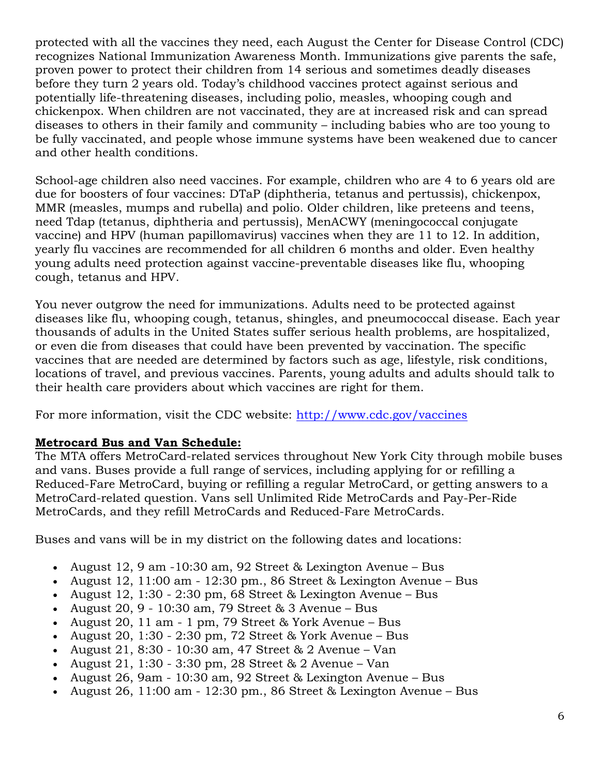protected with all the vaccines they need, each August the Center for Disease Control (CDC) recognizes National Immunization Awareness Month. Immunizations give parents the safe, proven power to protect their children from 14 serious and sometimes deadly diseases before they turn 2 years old. Today's childhood vaccines protect against serious and potentially life-threatening diseases, including polio, measles, whooping cough and chickenpox. When children are not vaccinated, they are at increased risk and can spread diseases to others in their family and community – including babies who are too young to be fully vaccinated, and people whose immune systems have been weakened due to cancer and other health conditions.

School-age children also need vaccines. For example, children who are 4 to 6 years old are due for boosters of four vaccines: DTaP (diphtheria, tetanus and pertussis), chickenpox, MMR (measles, mumps and rubella) and polio. Older children, like preteens and teens, need Tdap (tetanus, diphtheria and pertussis), MenACWY (meningococcal conjugate vaccine) and HPV (human papillomavirus) vaccines when they are 11 to 12. In addition, yearly flu vaccines are recommended for all children 6 months and older. Even healthy young adults need protection against vaccine-preventable diseases like flu, whooping cough, tetanus and HPV.

You never outgrow the need for immunizations. Adults need to be protected against diseases like flu, whooping cough, tetanus, shingles, and pneumococcal disease. Each year thousands of adults in the United States suffer serious health problems, are hospitalized, or even die from diseases that could have been prevented by vaccination. The specific vaccines that are needed are determined by factors such as age, lifestyle, risk conditions, locations of travel, and previous vaccines. Parents, young adults and adults should talk to their health care providers about which vaccines are right for them.

For more information, visit the CDC website: <http://www.cdc.gov/vaccines>

#### **Metrocard Bus and Van Schedule:**

The MTA offers MetroCard-related services throughout New York City through mobile buses and vans. Buses provide a full range of services, including applying for or refilling a Reduced-Fare MetroCard, buying or refilling a regular MetroCard, or getting answers to a MetroCard-related question. Vans sell Unlimited Ride MetroCards and Pay-Per-Ride MetroCards, and they refill MetroCards and Reduced-Fare MetroCards.

Buses and vans will be in my district on the following dates and locations:

- August  $12, 9$  am  $-10:30$  am,  $92$  Street & Lexington Avenue Bus
- August 12, 11:00 am 12:30 pm., 86 Street & Lexington Avenue Bus
- August 12, 1:30 2:30 pm, 68 Street & Lexington Avenue Bus
- August 20, 9 10:30 am, 79 Street & 3 Avenue Bus
- August 20, 11 am 1 pm, 79 Street & York Avenue Bus
- August 20, 1:30 2:30 pm, 72 Street & York Avenue Bus
- August 21, 8:30 10:30 am, 47 Street  $& 2$  Avenue Van
- August 21, 1:30 3:30 pm, 28 Street & 2 Avenue Van
- August 26, 9am 10:30 am, 92 Street & Lexington Avenue Bus
- August 26, 11:00 am 12:30 pm., 86 Street & Lexington Avenue Bus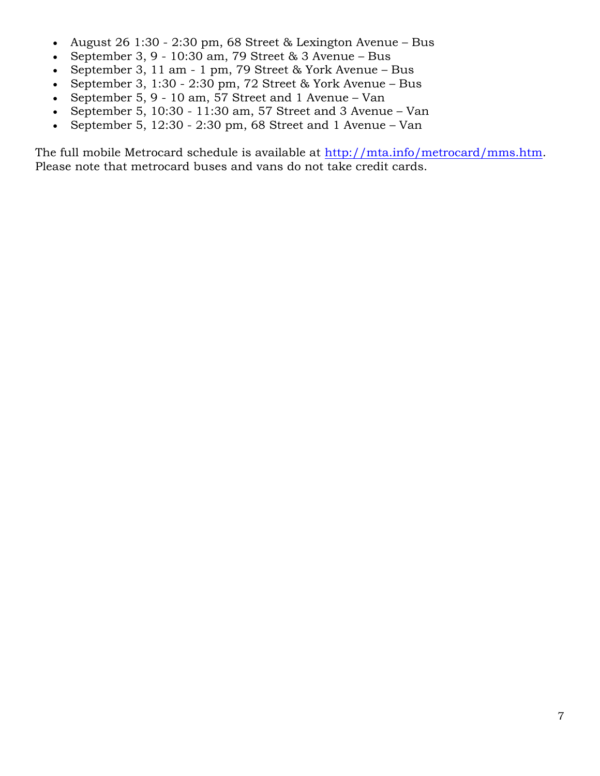- August 26 1:30 2:30 pm, 68 Street & Lexington Avenue Bus
- September 3, 9 10:30 am, 79 Street & 3 Avenue Bus
- September 3, 11 am 1 pm, 79 Street & York Avenue Bus
- September 3, 1:30 2:30 pm, 72 Street & York Avenue Bus
- September 5, 9 10 am, 57 Street and 1 Avenue Van
- September 5, 10:30 11:30 am, 57 Street and 3 Avenue Van
- September 5, 12:30 2:30 pm, 68 Street and 1 Avenue Van

The full mobile Metrocard schedule is available at [http://mta.info/metrocard/mms.htm.](http://mta.info/metrocard/mms.htm) Please note that metrocard buses and vans do not take credit cards.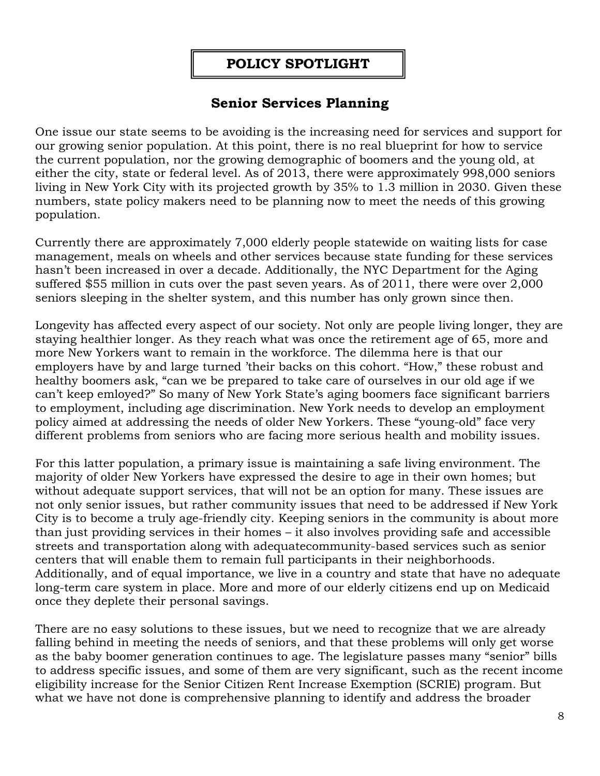# **POLICY SPOTLIGHT**

# **Senior Services Planning**

One issue our state seems to be avoiding is the increasing need for services and support for our growing senior population. At this point, there is no real blueprint for how to service the current population, nor the growing demographic of boomers and the young old, at either the city, state or federal level. As of 2013, there were approximately 998,000 seniors living in New York City with its projected growth by 35% to 1.3 million in 2030. Given these numbers, state policy makers need to be planning now to meet the needs of this growing population.

Currently there are approximately 7,000 elderly people statewide on waiting lists for case management, meals on wheels and other services because state funding for these services hasn't been increased in over a decade. Additionally, the NYC Department for the Aging suffered \$55 million in cuts over the past seven years. As of 2011, there were over 2,000 seniors sleeping in the shelter system, and this number has only grown since then.

Longevity has affected every aspect of our society. Not only are people living longer, they are staying healthier longer. As they reach what was once the retirement age of 65, more and more New Yorkers want to remain in the workforce. The dilemma here is that our employers have by and large turned 'their backs on this cohort. "How," these robust and healthy boomers ask, "can we be prepared to take care of ourselves in our old age if we can't keep emloyed?" So many of New York State's aging boomers face significant barriers to employment, including age discrimination. New York needs to develop an employment policy aimed at addressing the needs of older New Yorkers. These "young-old" face very different problems from seniors who are facing more serious health and mobility issues.

For this latter population, a primary issue is maintaining a safe living environment. The majority of older New Yorkers have expressed the desire to age in their own homes; but without adequate support services, that will not be an option for many. These issues are not only senior issues, but rather community issues that need to be addressed if New York City is to become a truly age-friendly city. Keeping seniors in the community is about more than just providing services in their homes – it also involves providing safe and accessible streets and transportation along with adequatecommunity-based services such as senior centers that will enable them to remain full participants in their neighborhoods. Additionally, and of equal importance, we live in a country and state that have no adequate long-term care system in place. More and more of our elderly citizens end up on Medicaid once they deplete their personal savings.

There are no easy solutions to these issues, but we need to recognize that we are already falling behind in meeting the needs of seniors, and that these problems will only get worse as the baby boomer generation continues to age. The legislature passes many "senior" bills to address specific issues, and some of them are very significant, such as the recent income eligibility increase for the Senior Citizen Rent Increase Exemption (SCRIE) program. But what we have not done is comprehensive planning to identify and address the broader